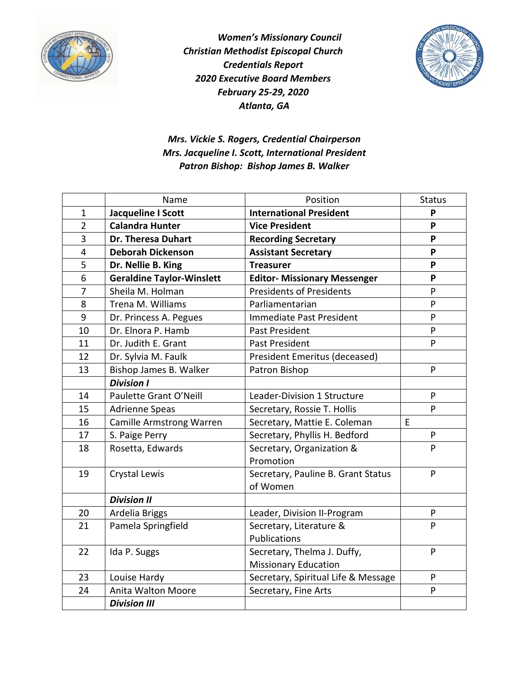



*Mrs. Vickie S. Rogers, Credential Chairperson Mrs. Jacqueline I. Scott, International President Patron Bishop: Bishop James B. Walker*

|                | Name                             | Position                            | <b>Status</b> |
|----------------|----------------------------------|-------------------------------------|---------------|
| $\mathbf{1}$   | Jacqueline I Scott               | <b>International President</b>      | P             |
| $\overline{2}$ | <b>Calandra Hunter</b>           | <b>Vice President</b>               | P             |
| 3              | Dr. Theresa Duhart               | <b>Recording Secretary</b>          | P             |
| $\overline{4}$ | <b>Deborah Dickenson</b>         | <b>Assistant Secretary</b>          | P             |
| 5              | Dr. Nellie B. King               | <b>Treasurer</b>                    | P             |
| 6              | <b>Geraldine Taylor-Winslett</b> | <b>Editor- Missionary Messenger</b> | P             |
| 7              | Sheila M. Holman                 | <b>Presidents of Presidents</b>     | P             |
| 8              | Trena M. Williams                | Parliamentarian                     | P             |
| 9              | Dr. Princess A. Pegues           | Immediate Past President            | P             |
| 10             | Dr. Elnora P. Hamb               | Past President                      | P             |
| 11             | Dr. Judith E. Grant              | Past President                      | P             |
| 12             | Dr. Sylvia M. Faulk              | President Emeritus (deceased)       |               |
| 13             | Bishop James B. Walker           | Patron Bishop                       | P             |
|                | <b>Division I</b>                |                                     |               |
| 14             | Paulette Grant O'Neill           | Leader-Division 1 Structure         | ${\sf P}$     |
| 15             | <b>Adrienne Speas</b>            | Secretary, Rossie T. Hollis         | P             |
| 16             | <b>Camille Armstrong Warren</b>  | Secretary, Mattie E. Coleman        | E             |
| 17             | S. Paige Perry                   | Secretary, Phyllis H. Bedford       | ${\sf P}$     |
| 18             | Rosetta, Edwards                 | Secretary, Organization &           | P             |
|                |                                  | Promotion                           |               |
| 19             | Crystal Lewis                    | Secretary, Pauline B. Grant Status  | P             |
|                |                                  | of Women                            |               |
|                | <b>Division II</b>               |                                     |               |
| 20             | Ardelia Briggs                   | Leader, Division II-Program         | P             |
| 21             | Pamela Springfield               | Secretary, Literature &             | P             |
|                |                                  | Publications                        |               |
| 22             | Ida P. Suggs                     | Secretary, Thelma J. Duffy,         | P             |
|                |                                  | <b>Missionary Education</b>         |               |
| 23             | Louise Hardy                     | Secretary, Spiritual Life & Message | P             |
| 24             | Anita Walton Moore               | Secretary, Fine Arts                | P             |
|                | <b>Division III</b>              |                                     |               |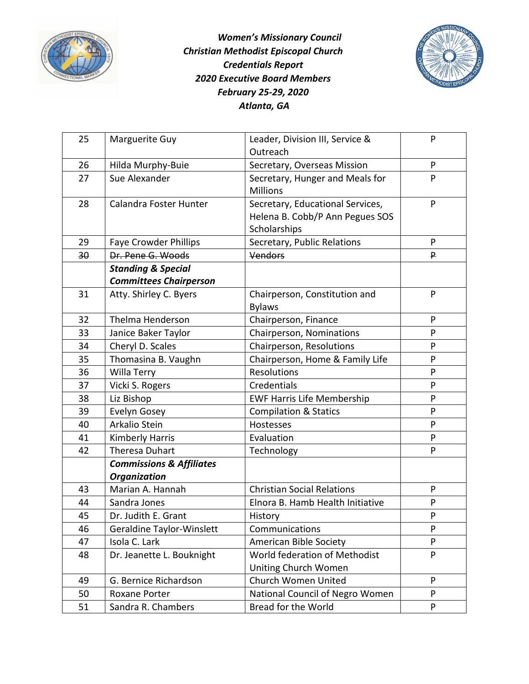



| 25 | Marguerite Guy                      | Leader, Division III, Service &   | P            |
|----|-------------------------------------|-----------------------------------|--------------|
|    |                                     | Outreach                          |              |
| 26 | Hilda Murphy-Buie                   | Secretary, Overseas Mission       | P            |
| 27 | Sue Alexander                       | Secretary, Hunger and Meals for   | P            |
|    |                                     | <b>Millions</b>                   |              |
| 28 | Calandra Foster Hunter              | Secretary, Educational Services,  | P            |
|    |                                     | Helena B. Cobb/P Ann Pegues SOS   |              |
|    |                                     | Scholarships                      |              |
| 29 | <b>Faye Crowder Phillips</b>        | Secretary, Public Relations       | P            |
| 30 | Dr. Pene G. Woods                   | <b>Vendors</b>                    | P            |
|    | <b>Standing &amp; Special</b>       |                                   |              |
|    | <b>Committees Chairperson</b>       |                                   |              |
| 31 | Atty. Shirley C. Byers              | Chairperson, Constitution and     | P            |
|    |                                     | <b>Bylaws</b>                     |              |
| 32 | Thelma Henderson                    | Chairperson, Finance              | P            |
| 33 | Janice Baker Taylor                 | Chairperson, Nominations          | P            |
| 34 | Cheryl D. Scales                    | Chairperson, Resolutions          | P            |
| 35 | Thomasina B. Vaughn                 | Chairperson, Home & Family Life   | P            |
| 36 | Willa Terry                         | <b>Resolutions</b>                | P            |
| 37 | Vicki S. Rogers                     | Credentials                       | P            |
| 38 | Liz Bishop                          | <b>EWF Harris Life Membership</b> | P            |
| 39 | Evelyn Gosey                        | <b>Compilation &amp; Statics</b>  | ${\sf P}$    |
| 40 | Arkalio Stein                       | Hostesses                         | $\mathsf{P}$ |
| 41 | <b>Kimberly Harris</b>              | Evaluation                        | P            |
| 42 | <b>Theresa Duhart</b>               | Technology                        | P            |
|    | <b>Commissions &amp; Affiliates</b> |                                   |              |
|    | <b>Organization</b>                 |                                   |              |
| 43 | Marian A. Hannah                    | <b>Christian Social Relations</b> | P            |
| 44 | Sandra Jones                        | Elnora B. Hamb Health Initiative  | P            |
| 45 | Dr. Judith E. Grant                 | History                           | P            |
| 46 | <b>Geraldine Taylor-Winslett</b>    | Communications                    | P            |
| 47 | Isola C. Lark                       | American Bible Society            | P            |
| 48 | Dr. Jeanette L. Bouknight           | World federation of Methodist     | P            |
|    |                                     | Uniting Church Women              |              |
| 49 | G. Bernice Richardson               | Church Women United               | P            |
| 50 | Roxane Porter                       | National Council of Negro Women   | P            |
| 51 | Sandra R. Chambers                  | Bread for the World               | P            |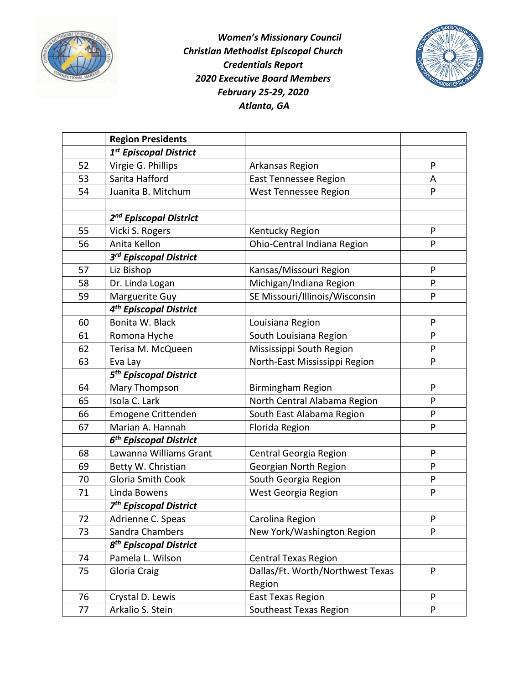



|    | <b>Region Presidents</b>           |                                  |           |
|----|------------------------------------|----------------------------------|-----------|
|    | 1 <sup>st</sup> Episcopal District |                                  |           |
| 52 | Virgie G. Phillips                 | Arkansas Region                  | P         |
| 53 | Sarita Hafford                     | <b>East Tennessee Region</b>     | A         |
| 54 | Juanita B. Mitchum                 | West Tennessee Region            | P         |
|    |                                    |                                  |           |
|    | 2 <sup>nd</sup> Episcopal District |                                  |           |
| 55 | Vicki S. Rogers                    | Kentucky Region                  | ${\sf P}$ |
| 56 | Anita Kellon                       | Ohio-Central Indiana Region      | P         |
|    | 3rd Episcopal District             |                                  |           |
| 57 | Liz Bishop                         | Kansas/Missouri Region           | P         |
| 58 | Dr. Linda Logan                    | Michigan/Indiana Region          | ${\sf P}$ |
| 59 | Marguerite Guy                     | SE Missouri/Illinois/Wisconsin   | P         |
|    | 4 <sup>th</sup> Episcopal District |                                  |           |
| 60 | Bonita W. Black                    | Louisiana Region                 | P         |
| 61 | Romona Hyche                       | South Louisiana Region           | P         |
| 62 | Terisa M. McQueen                  | Mississippi South Region         | P         |
| 63 | Eva Lay                            | North-East Mississippi Region    | P         |
|    | 5 <sup>th</sup> Episcopal District |                                  |           |
| 64 | Mary Thompson                      | <b>Birmingham Region</b>         | P         |
| 65 | Isola C. Lark                      | North Central Alabama Region     | P         |
| 66 | Emogene Crittenden                 | South East Alabama Region        | P         |
| 67 | Marian A. Hannah                   | Florida Region                   | P         |
|    | 6 <sup>th</sup> Episcopal District |                                  |           |
| 68 | Lawanna Williams Grant             | Central Georgia Region           | P         |
| 69 | Betty W. Christian                 | Georgian North Region            | P         |
| 70 | <b>Gloria Smith Cook</b>           | South Georgia Region             | ${\sf P}$ |
| 71 | Linda Bowens                       | West Georgia Region              | ${\sf P}$ |
|    | 7 <sup>th</sup> Episcopal District |                                  |           |
| 72 | Adrienne C. Speas                  | Carolina Region                  | P         |
| 73 | Sandra Chambers                    | New York/Washington Region       | P         |
|    | 8 <sup>th</sup> Episcopal District |                                  |           |
| 74 | Pamela L. Wilson                   | <b>Central Texas Region</b>      |           |
| 75 | Gloria Craig                       | Dallas/Ft. Worth/Northwest Texas | P         |
|    |                                    | Region                           |           |
| 76 | Crystal D. Lewis                   | <b>East Texas Region</b>         | P         |
| 77 | Arkalio S. Stein                   | Southeast Texas Region           | P         |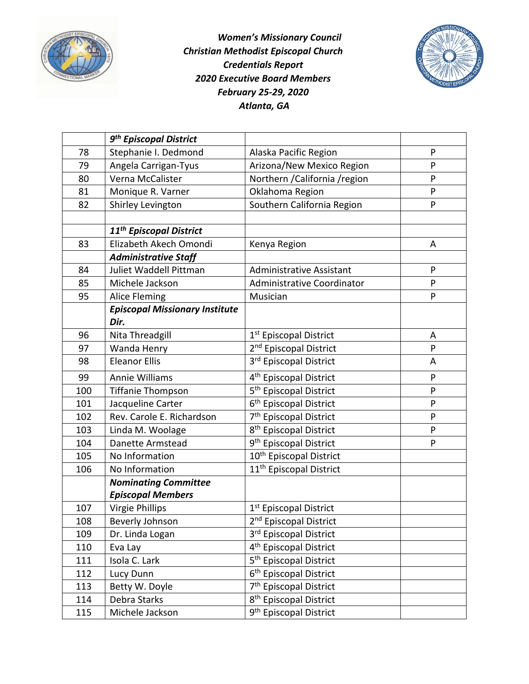



|     | 9 <sup>th</sup> Episcopal District    |                                     |   |
|-----|---------------------------------------|-------------------------------------|---|
| 78  | Stephanie I. Dedmond                  | Alaska Pacific Region               | P |
| 79  | Angela Carrigan-Tyus                  | Arizona/New Mexico Region           | P |
| 80  | Verna McCalister                      | Northern / California / region      | P |
| 81  | Monique R. Varner                     | Oklahoma Region                     | P |
| 82  | Shirley Levington                     | Southern California Region          | P |
|     |                                       |                                     |   |
|     | 11 <sup>th</sup> Episcopal District   |                                     |   |
| 83  | Elizabeth Akech Omondi                | Kenya Region                        | A |
|     | <b>Administrative Staff</b>           |                                     |   |
| 84  | Juliet Waddell Pittman                | <b>Administrative Assistant</b>     | P |
| 85  | Michele Jackson                       | Administrative Coordinator          | P |
| 95  | Alice Fleming                         | Musician                            | P |
|     | <b>Episcopal Missionary Institute</b> |                                     |   |
|     | Dir.                                  |                                     |   |
| 96  | Nita Threadgill                       | 1 <sup>st</sup> Episcopal District  | A |
| 97  | Wanda Henry                           | 2 <sup>nd</sup> Episcopal District  | P |
| 98  | <b>Eleanor Ellis</b>                  | 3rd Episcopal District              | A |
| 99  | <b>Annie Williams</b>                 | 4 <sup>th</sup> Episcopal District  | P |
| 100 | <b>Tiffanie Thompson</b>              | 5 <sup>th</sup> Episcopal District  | P |
| 101 | Jacqueline Carter                     | 6 <sup>th</sup> Episcopal District  | P |
| 102 | Rev. Carole E. Richardson             | 7 <sup>th</sup> Episcopal District  | P |
| 103 | Linda M. Woolage                      | 8 <sup>th</sup> Episcopal District  | P |
| 104 | Danette Armstead                      | 9 <sup>th</sup> Episcopal District  | P |
| 105 | No Information                        | 10 <sup>th</sup> Episcopal District |   |
| 106 | No Information                        | 11 <sup>th</sup> Episcopal District |   |
|     | <b>Nominating Committee</b>           |                                     |   |
|     | <b>Episcopal Members</b>              |                                     |   |
| 107 | Virgie Phillips                       | 1 <sup>st</sup> Episcopal District  |   |
| 108 | Beverly Johnson                       | 2 <sup>nd</sup> Episcopal District  |   |
| 109 | Dr. Linda Logan                       | 3rd Episcopal District              |   |
| 110 | Eva Lay                               | 4 <sup>th</sup> Episcopal District  |   |
| 111 | Isola C. Lark                         | 5 <sup>th</sup> Episcopal District  |   |
| 112 | Lucy Dunn                             | 6 <sup>th</sup> Episcopal District  |   |
| 113 | Betty W. Doyle                        | 7 <sup>th</sup> Episcopal District  |   |
| 114 | Debra Starks                          | 8 <sup>th</sup> Episcopal District  |   |
| 115 | Michele Jackson                       | 9 <sup>th</sup> Episcopal District  |   |